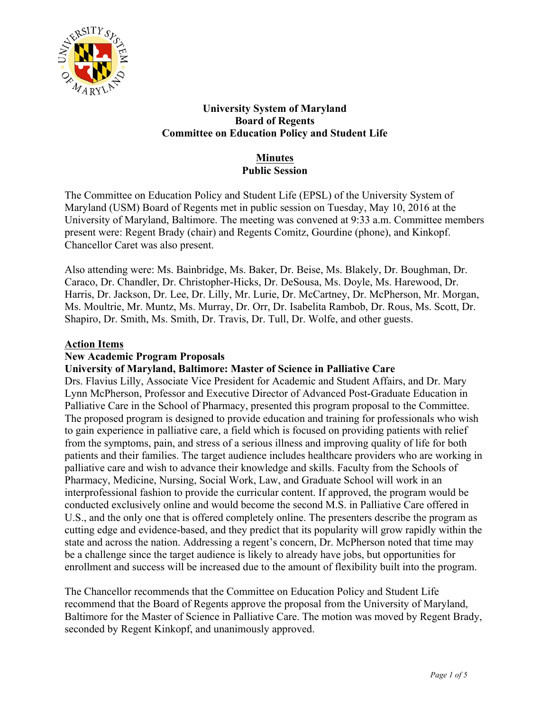

## **University System of Maryland Board of Regents Committee on Education Policy and Student Life**

## **Minutes Public Session**

The Committee on Education Policy and Student Life (EPSL) of the University System of Maryland (USM) Board of Regents met in public session on Tuesday, May 10, 2016 at the University of Maryland, Baltimore. The meeting was convened at 9:33 a.m. Committee members present were: Regent Brady (chair) and Regents Comitz, Gourdine (phone), and Kinkopf. Chancellor Caret was also present.

Also attending were: Ms. Bainbridge, Ms. Baker, Dr. Beise, Ms. Blakely, Dr. Boughman, Dr. Caraco, Dr. Chandler, Dr. Christopher-Hicks, Dr. DeSousa, Ms. Doyle, Ms. Harewood, Dr. Harris, Dr. Jackson, Dr. Lee, Dr. Lilly, Mr. Lurie, Dr. McCartney, Dr. McPherson, Mr. Morgan, Ms. Moultrie, Mr. Muntz, Ms. Murray, Dr. Orr, Dr. Isabelita Rambob, Dr. Rous, Ms. Scott, Dr. Shapiro, Dr. Smith, Ms. Smith, Dr. Travis, Dr. Tull, Dr. Wolfe, and other guests.

## **Action Items**

## **New Academic Program Proposals**

**University of Maryland, Baltimore: Master of Science in Palliative Care**

Drs. Flavius Lilly, Associate Vice President for Academic and Student Affairs, and Dr. Mary Lynn McPherson, Professor and Executive Director of Advanced Post-Graduate Education in Palliative Care in the School of Pharmacy, presented this program proposal to the Committee. The proposed program is designed to provide education and training for professionals who wish to gain experience in palliative care, a field which is focused on providing patients with relief from the symptoms, pain, and stress of a serious illness and improving quality of life for both patients and their families. The target audience includes healthcare providers who are working in palliative care and wish to advance their knowledge and skills. Faculty from the Schools of Pharmacy, Medicine, Nursing, Social Work, Law, and Graduate School will work in an interprofessional fashion to provide the curricular content. If approved, the program would be conducted exclusively online and would become the second M.S. in Palliative Care offered in U.S., and the only one that is offered completely online. The presenters describe the program as cutting edge and evidence-based, and they predict that its popularity will grow rapidly within the state and across the nation. Addressing a regent's concern, Dr. McPherson noted that time may be a challenge since the target audience is likely to already have jobs, but opportunities for enrollment and success will be increased due to the amount of flexibility built into the program.

The Chancellor recommends that the Committee on Education Policy and Student Life recommend that the Board of Regents approve the proposal from the University of Maryland, Baltimore for the Master of Science in Palliative Care. The motion was moved by Regent Brady, seconded by Regent Kinkopf, and unanimously approved.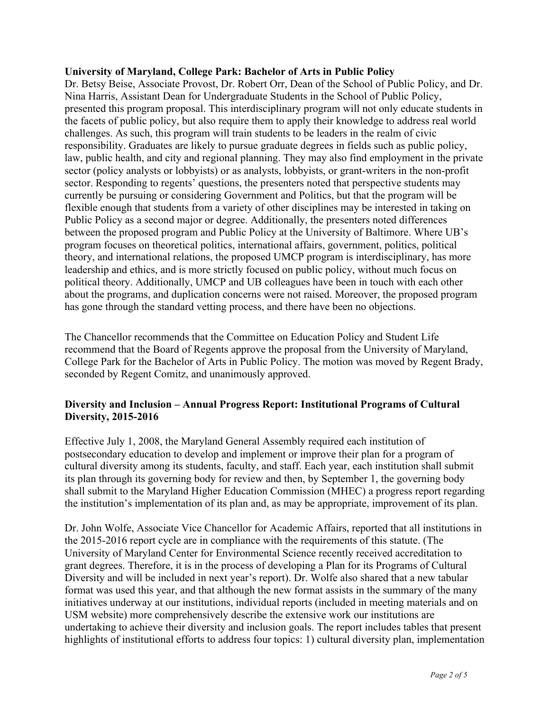#### **University of Maryland, College Park: Bachelor of Arts in Public Policy**

Dr. Betsy Beise, Associate Provost, Dr. Robert Orr, Dean of the School of Public Policy, and Dr. Nina Harris, Assistant Dean for Undergraduate Students in the School of Public Policy, presented this program proposal. This interdisciplinary program will not only educate students in the facets of public policy, but also require them to apply their knowledge to address real world challenges. As such, this program will train students to be leaders in the realm of civic responsibility. Graduates are likely to pursue graduate degrees in fields such as public policy, law, public health, and city and regional planning. They may also find employment in the private sector (policy analysts or lobbyists) or as analysts, lobbyists, or grant-writers in the non-profit sector. Responding to regents' questions, the presenters noted that perspective students may currently be pursuing or considering Government and Politics, but that the program will be flexible enough that students from a variety of other disciplines may be interested in taking on Public Policy as a second major or degree. Additionally, the presenters noted differences between the proposed program and Public Policy at the University of Baltimore. Where UB's program focuses on theoretical politics, international affairs, government, politics, political theory, and international relations, the proposed UMCP program is interdisciplinary, has more leadership and ethics, and is more strictly focused on public policy, without much focus on political theory. Additionally, UMCP and UB colleagues have been in touch with each other about the programs, and duplication concerns were not raised. Moreover, the proposed program has gone through the standard vetting process, and there have been no objections.

The Chancellor recommends that the Committee on Education Policy and Student Life recommend that the Board of Regents approve the proposal from the University of Maryland, College Park for the Bachelor of Arts in Public Policy. The motion was moved by Regent Brady, seconded by Regent Comitz, and unanimously approved.

## **Diversity and Inclusion – Annual Progress Report: Institutional Programs of Cultural Diversity, 2015-2016**

Effective July 1, 2008, the Maryland General Assembly required each institution of postsecondary education to develop and implement or improve their plan for a program of cultural diversity among its students, faculty, and staff. Each year, each institution shall submit its plan through its governing body for review and then, by September 1, the governing body shall submit to the Maryland Higher Education Commission (MHEC) a progress report regarding the institution's implementation of its plan and, as may be appropriate, improvement of its plan.

Dr. John Wolfe, Associate Vice Chancellor for Academic Affairs, reported that all institutions in the 2015-2016 report cycle are in compliance with the requirements of this statute. (The University of Maryland Center for Environmental Science recently received accreditation to grant degrees. Therefore, it is in the process of developing a Plan for its Programs of Cultural Diversity and will be included in next year's report). Dr. Wolfe also shared that a new tabular format was used this year, and that although the new format assists in the summary of the many initiatives underway at our institutions, individual reports (included in meeting materials and on USM website) more comprehensively describe the extensive work our institutions are undertaking to achieve their diversity and inclusion goals. The report includes tables that present highlights of institutional efforts to address four topics: 1) cultural diversity plan, implementation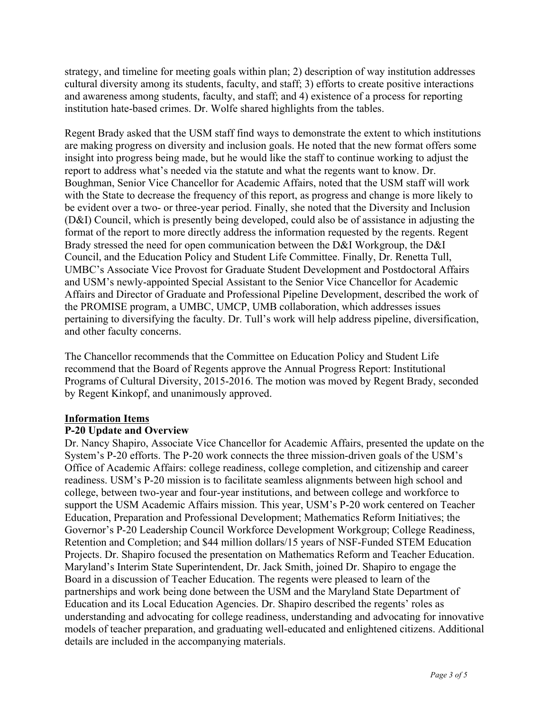strategy, and timeline for meeting goals within plan; 2) description of way institution addresses cultural diversity among its students, faculty, and staff; 3) efforts to create positive interactions and awareness among students, faculty, and staff; and 4) existence of a process for reporting institution hate-based crimes. Dr. Wolfe shared highlights from the tables.

Regent Brady asked that the USM staff find ways to demonstrate the extent to which institutions are making progress on diversity and inclusion goals. He noted that the new format offers some insight into progress being made, but he would like the staff to continue working to adjust the report to address what's needed via the statute and what the regents want to know. Dr. Boughman, Senior Vice Chancellor for Academic Affairs, noted that the USM staff will work with the State to decrease the frequency of this report, as progress and change is more likely to be evident over a two- or three-year period. Finally, she noted that the Diversity and Inclusion (D&I) Council, which is presently being developed, could also be of assistance in adjusting the format of the report to more directly address the information requested by the regents. Regent Brady stressed the need for open communication between the D&I Workgroup, the D&I Council, and the Education Policy and Student Life Committee. Finally, Dr. Renetta Tull, UMBC's Associate Vice Provost for Graduate Student Development and Postdoctoral Affairs and USM's newly-appointed Special Assistant to the Senior Vice Chancellor for Academic Affairs and Director of Graduate and Professional Pipeline Development, described the work of the PROMISE program, a UMBC, UMCP, UMB collaboration, which addresses issues pertaining to diversifying the faculty. Dr. Tull's work will help address pipeline, diversification, and other faculty concerns.

The Chancellor recommends that the Committee on Education Policy and Student Life recommend that the Board of Regents approve the Annual Progress Report: Institutional Programs of Cultural Diversity, 2015-2016. The motion was moved by Regent Brady, seconded by Regent Kinkopf, and unanimously approved.

#### **Information Items**

#### **P-20 Update and Overview**

Dr. Nancy Shapiro, Associate Vice Chancellor for Academic Affairs, presented the update on the System's P-20 efforts. The P-20 work connects the three mission-driven goals of the USM's Office of Academic Affairs: college readiness, college completion, and citizenship and career readiness. USM's P-20 mission is to facilitate seamless alignments between high school and college, between two-year and four-year institutions, and between college and workforce to support the USM Academic Affairs mission. This year, USM's P-20 work centered on Teacher Education, Preparation and Professional Development; Mathematics Reform Initiatives; the Governor's P-20 Leadership Council Workforce Development Workgroup; College Readiness, Retention and Completion; and \$44 million dollars/15 years of NSF-Funded STEM Education Projects. Dr. Shapiro focused the presentation on Mathematics Reform and Teacher Education. Maryland's Interim State Superintendent, Dr. Jack Smith, joined Dr. Shapiro to engage the Board in a discussion of Teacher Education. The regents were pleased to learn of the partnerships and work being done between the USM and the Maryland State Department of Education and its Local Education Agencies. Dr. Shapiro described the regents' roles as understanding and advocating for college readiness, understanding and advocating for innovative models of teacher preparation, and graduating well-educated and enlightened citizens. Additional details are included in the accompanying materials.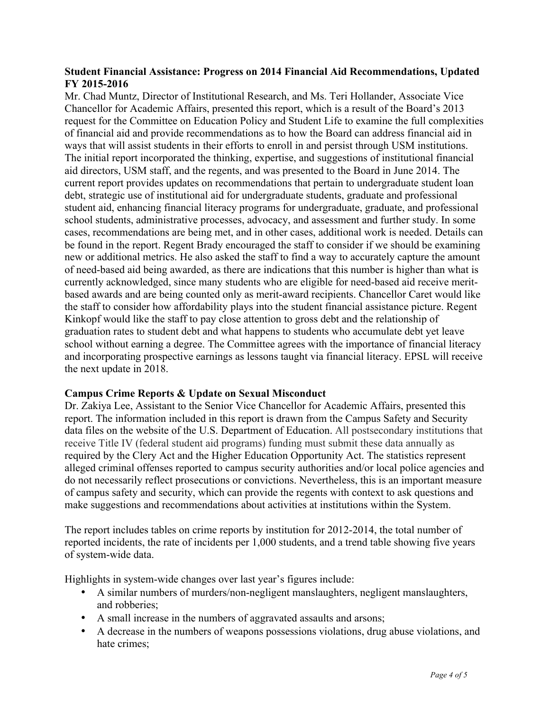## **Student Financial Assistance: Progress on 2014 Financial Aid Recommendations, Updated FY 2015-2016**

Mr. Chad Muntz, Director of Institutional Research, and Ms. Teri Hollander, Associate Vice Chancellor for Academic Affairs, presented this report, which is a result of the Board's 2013 request for the Committee on Education Policy and Student Life to examine the full complexities of financial aid and provide recommendations as to how the Board can address financial aid in ways that will assist students in their efforts to enroll in and persist through USM institutions. The initial report incorporated the thinking, expertise, and suggestions of institutional financial aid directors, USM staff, and the regents, and was presented to the Board in June 2014. The current report provides updates on recommendations that pertain to undergraduate student loan debt, strategic use of institutional aid for undergraduate students, graduate and professional student aid, enhancing financial literacy programs for undergraduate, graduate, and professional school students, administrative processes, advocacy, and assessment and further study. In some cases, recommendations are being met, and in other cases, additional work is needed. Details can be found in the report. Regent Brady encouraged the staff to consider if we should be examining new or additional metrics. He also asked the staff to find a way to accurately capture the amount of need-based aid being awarded, as there are indications that this number is higher than what is currently acknowledged, since many students who are eligible for need-based aid receive meritbased awards and are being counted only as merit-award recipients. Chancellor Caret would like the staff to consider how affordability plays into the student financial assistance picture. Regent Kinkopf would like the staff to pay close attention to gross debt and the relationship of graduation rates to student debt and what happens to students who accumulate debt yet leave school without earning a degree. The Committee agrees with the importance of financial literacy and incorporating prospective earnings as lessons taught via financial literacy. EPSL will receive the next update in 2018.

#### **Campus Crime Reports & Update on Sexual Misconduct**

Dr. Zakiya Lee, Assistant to the Senior Vice Chancellor for Academic Affairs, presented this report. The information included in this report is drawn from the Campus Safety and Security data files on the website of the U.S. Department of Education. All postsecondary institutions that receive Title IV (federal student aid programs) funding must submit these data annually as required by the Clery Act and the Higher Education Opportunity Act. The statistics represent alleged criminal offenses reported to campus security authorities and/or local police agencies and do not necessarily reflect prosecutions or convictions. Nevertheless, this is an important measure of campus safety and security, which can provide the regents with context to ask questions and make suggestions and recommendations about activities at institutions within the System.

The report includes tables on crime reports by institution for 2012-2014, the total number of reported incidents, the rate of incidents per 1,000 students, and a trend table showing five years of system-wide data.

Highlights in system-wide changes over last year's figures include:

- A similar numbers of murders/non-negligent manslaughters, negligent manslaughters, and robberies;
- A small increase in the numbers of aggravated assaults and arsons;
- A decrease in the numbers of weapons possessions violations, drug abuse violations, and hate crimes;